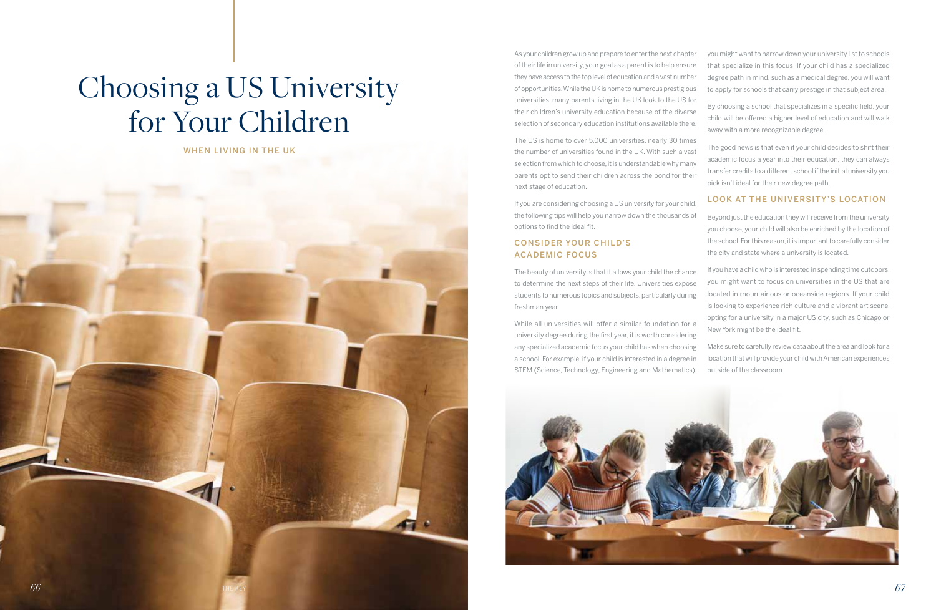# Choosing a US University for Your Children

WHEN LIVING IN THE UK

As your children grow up and prepare to enter the next chapter of their life in university, your goal as a parent is to help ensure they have access to the top level of education and a vast number of opportunities. While the UK is home to numerous prestigious universities, many parents living in the UK look to the US for their children's university education because of the diverse selection of secondary education institutions available there.

The US is home to over 5,000 universities, nearly 30 times the number of universities found in the UK. With such a vast selection from which to choose, it is understandable why many parents opt to send their children across the pond for their next stage of education.

If you are considering choosing a US university for your child, the following tips will help you narrow down the thousands of options to find the ideal fit.

# CONSIDER YOUR CHILD'S ACADEMIC FOCUS

The beauty of university is that it allows your child the chance to determine the next steps of their life. Universities expose students to numerous topics and subjects, particularly during freshman year.

While all universities will offer a similar foundation for a university degree during the first year, it is worth considering any specialized academic focus your child has when choosing a school. For example, if your child is interested in a degree in STEM (Science, Technology, Engineering and Mathematics),

you might want to narrow down your university list to schools that specialize in this focus. If your child has a specialized degree path in mind, such as a medical degree, you will want to apply for schools that carry prestige in that subject area.

By choosing a school that specializes in a specific field, your child will be offered a higher level of education and will walk away with a more recognizable degree.

The good news is that even if your child decides to shift their academic focus a year into their education, they can always transfer credits to a different school if the initial university you pick isn't ideal for their new degree path.

#### LOOK AT THE UNIVERSITY'S LOCATION

Beyond just the education they will receive from the university you choose, your child will also be enriched by the location of the school. For this reason, it is important to carefully consider the city and state where a university is located.

If you have a child who is interested in spending time outdoors, you might want to focus on universities in the US that are located in mountainous or oceanside regions. If your child is looking to experience rich culture and a vibrant art scene, opting for a university in a major US city, such as Chicago or New York might be the ideal fit.

Make sure to carefully review data about the area and look for a location that will provide your child with American experiences outside of the classroom.